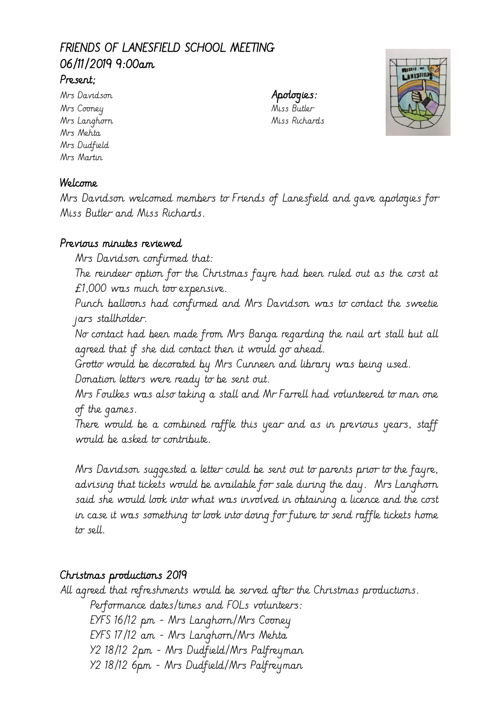# FRIENDS OF LANESFIELD SCHOOL MEETING 06/11/2019 9:00am

#### Present;

Mrs Davidson **Apologies:** Mrs Cooney Miss Butler Mrs Mehta Mrs Dudfield Mrs Martin

Mrs Langhorn Miss Richards



### Welcome

Mrs Davidson welcomed members to Friends of Lanesfield and gave apologies for Miss Butler and Miss Richards.

#### Previous minutes reviewed

Mrs Davidson confirmed that:

The reindeer option for the Christmas fayre had been ruled out as the cost at £1,000 was much too expensive.

Punch balloons had confirmed and Mrs Davidson was to contact the sweetie jars stallholder.

No contact had been made from Mrs Banga regarding the nail art stall but all agreed that if she did contact then it would go ahead.

Grotto would be decorated by Mrs Cunneen and library was being used.

Donation letters were ready to be sent out.

Mrs Foulkes was also taking a stall and Mr Farrell had volunteered to man one of the games.

There would be a combined raffle this year and as in previous years, staff would be asked to contribute.

Mrs Davidson suggested a letter could be sent out to parents prior to the fayre, advising that tickets would be available for sale during the day. Mrs Langhorn said she would look into what was involved in obtaining a licence and the cost in case it was something to look into doing for future to send raffle tickets home to sell.

### Christmas productions 2019

All agreed that refreshments would be served after the Christmas productions. Performance dates/times and FOLs volunteers: EYFS 16/12 pm - Mrs Langhorn/Mrs Cooney EYFS 17/12 am - Mrs Langhorn/Mrs Mehta Y2 18/12 2pm - Mrs Dudfield/Mrs Palfreyman Y2 18/12 6pm - Mrs Dudfield/Mrs Palfreyman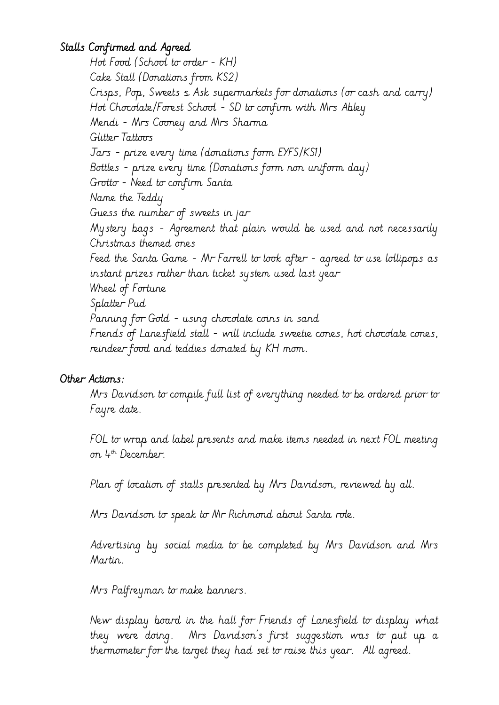## Stalls Confirmed and Agreed

Hot Food (School to order - KH) Cake Stall (Donations from KS2) Crisps, Pop, Sweets & Ask supermarkets for donations (or cash and carry) Hot Chocolate/Forest School - SD to confirm with Mrs Abley Mendi - Mrs Cooney and Mrs Sharma Glitter Tattoos Jars - prize every time (donations form EYFS/KS1) Bottles - prize every time (Donations form non uniform day) Grotto - Need to confirm Santa Name the Teddy Guess the number of sweets in jar Mystery bags - Agreement that plain would be used and not necessarily Christmas themed ones Feed the Santa Game - Mr Farrell to look after - agreed to use lollipops as instant prizes rather than ticket system used last year Wheel of Fortune Splatter Pud Panning for Gold - using chocolate coins in sand Friends of Lanesfield stall - will include sweetie cones, hot chocolate cones, reindeer food and teddies donated by KH mom.

### Other Actions:

Mrs Davidson to compile full list of everything needed to be ordered prior to Fayre date.

FOL to wrap and label presents and make items needed in next FOL meeting on 4th December.

Plan of location of stalls presented by Mrs Davidson, reviewed by all.

Mrs Davidson to speak to Mr Richmond about Santa role.

Advertising by social media to be completed by Mrs Davidson and Mrs Martin.

Mrs Palfreyman to make banners.

New display board in the hall for Friends of Lanesfield to display what they were doing. Mrs Davidson's first suggestion was to put up a thermometer for the target they had set to raise this year. All agreed.